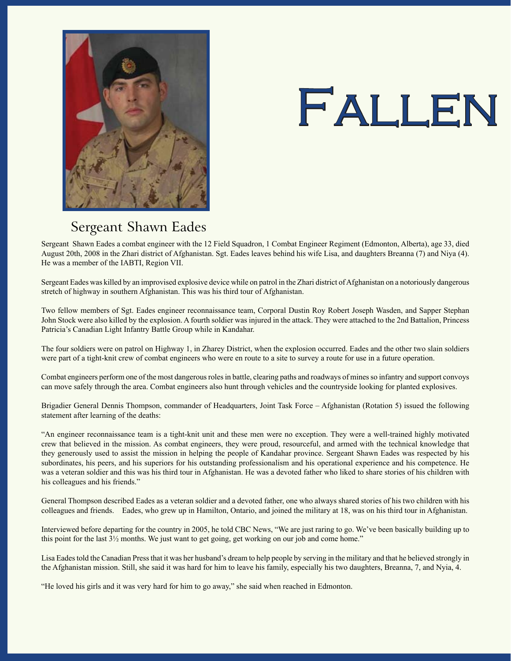

## FALLEN

## Sergeant Shawn Eades

Sergeant Shawn Eades a combat engineer with the 12 Field Squadron, 1 Combat Engineer Regiment (Edmonton, Alberta), age 33, died August 20th, 2008 in the Zhari district of Afghanistan. Sgt. Eades leaves behind his wife Lisa, and daughters Breanna (7) and Niya (4). He was a member of the IABTI, Region VII.

Sergeant Eades was killed by an improvised explosive device while on patrol in the Zhari district ofAfghanistan on a notoriously dangerous stretch of highway in southern Afghanistan. This was his third tour of Afghanistan.

Two fellow members of Sgt. Eades engineer reconnaissance team, Corporal Dustin Roy Robert Joseph Wasden, and Sapper Stephan John Stock were also killed by the explosion. A fourth soldier was injured in the attack. They were attached to the 2nd Battalion, Princess Patricia's Canadian Light Infantry Battle Group while in Kandahar.

The four soldiers were on patrol on Highway 1, in Zharey District, when the explosion occurred. Eades and the other two slain soldiers were part of a tight-knit crew of combat engineers who were en route to a site to survey a route for use in a future operation.

Combat engineers perform one of the most dangerousrolesin battle, clearing paths and roadways of minesso infantry and support convoys can move safely through the area. Combat engineers also hunt through vehicles and the countryside looking for planted explosives.

Brigadier General Dennis Thompson, commander of Headquarters, Joint Task Force – Afghanistan (Rotation 5) issued the following statement after learning of the deaths:

"An engineer reconnaissance team is a tight-knit unit and these men were no exception. They were a well-trained highly motivated crew that believed in the mission. As combat engineers, they were proud, resourceful, and armed with the technical knowledge that they generously used to assist the mission in helping the people of Kandahar province. Sergeant Shawn Eades was respected by his subordinates, his peers, and his superiors for his outstanding professionalism and his operational experience and his competence. He was a veteran soldier and this was his third tour in Afghanistan. He was a devoted father who liked to share stories of his children with his colleagues and his friends."

General Thompson described Eades as a veteran soldier and a devoted father, one who always shared stories of his two children with his colleagues and friends. Eades, who grew up in Hamilton, Ontario, and joined the military at 18, was on his third tour in Afghanistan.

Interviewed before departing for the country in 2005, he told CBC News, "We are just raring to go. We've been basically building up to this point for the last  $3\frac{1}{2}$  months. We just want to get going, get working on our job and come home."

Lisa Eadestold the Canadian Pressthat it was her husband's dream to help people by serving in the military and that he believed strongly in the Afghanistan mission. Still, she said it was hard for him to leave his family, especially his two daughters, Breanna, 7, and Nyia, 4.

"He loved his girls and it was very hard for him to go away," she said when reached in Edmonton.